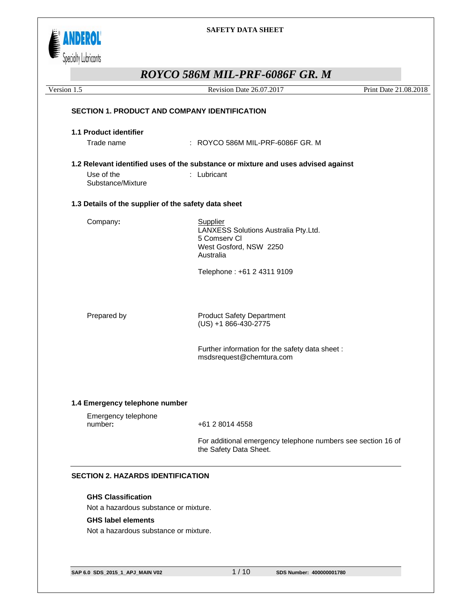

# *ROYCO 586M MIL-PRF-6086F GR. M*

| Version 1.5                                          | Revision Date 26.07.2017                                                                                | Print Date 21.08.2018 |
|------------------------------------------------------|---------------------------------------------------------------------------------------------------------|-----------------------|
| <b>SECTION 1. PRODUCT AND COMPANY IDENTIFICATION</b> |                                                                                                         |                       |
|                                                      |                                                                                                         |                       |
| 1.1 Product identifier                               |                                                                                                         |                       |
| Trade name                                           | : ROYCO 586M MIL-PRF-6086F GR. M                                                                        |                       |
|                                                      | 1.2 Relevant identified uses of the substance or mixture and uses advised against                       |                       |
| Use of the<br>Substance/Mixture                      | : Lubricant                                                                                             |                       |
| 1.3 Details of the supplier of the safety data sheet |                                                                                                         |                       |
| Company:                                             | Supplier<br>LANXESS Solutions Australia Pty.Ltd.<br>5 Comserv Cl<br>West Gosford, NSW 2250<br>Australia |                       |
|                                                      | Telephone: +61 2 4311 9109                                                                              |                       |
| Prepared by                                          | <b>Product Safety Department</b><br>(US) +1 866-430-2775                                                |                       |
|                                                      | Further information for the safety data sheet:<br>msdsrequest@chemtura.com                              |                       |
| 1.4 Emergency telephone number                       |                                                                                                         |                       |
| Emergency telephone<br>number:                       | +61 2 8014 4558                                                                                         |                       |
|                                                      | For additional emergency telephone numbers see section 16 of<br>the Safety Data Sheet.                  |                       |

## **GHS Classification**

Not a hazardous substance or mixture.

#### **GHS label elements**

Not a hazardous substance or mixture.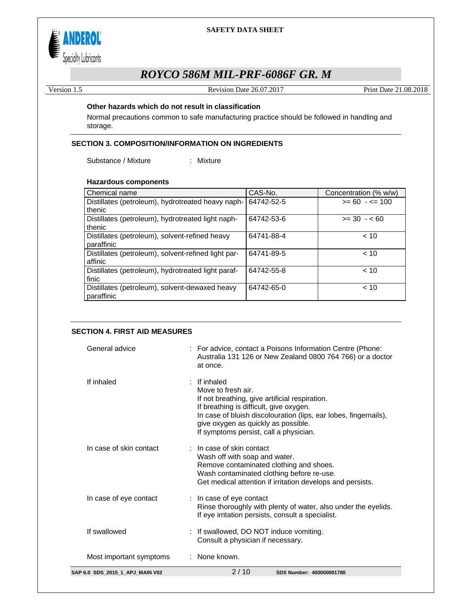

# *ROYCO 586M MIL-PRF-6086F GR. M*

Version 1.5 Revision Date 26.07.2017 Print Date 21.08.2018

### **Other hazards which do not result in classification**

Normal precautions common to safe manufacturing practice should be followed in handling and storage.

## **SECTION 3. COMPOSITION/INFORMATION ON INGREDIENTS**

Substance / Mixture : Mixture

#### **Hazardous components**

| Chemical name                                       | CAS-No.    | Concentration (% w/w) |
|-----------------------------------------------------|------------|-----------------------|
| Distillates (petroleum), hydrotreated heavy naph-   | 64742-52-5 | $>= 60 - 5 = 100$     |
| thenic                                              |            |                       |
| Distillates (petroleum), hydrotreated light naph-   | 64742-53-6 | $>= 30 - 60$          |
| thenic                                              |            |                       |
| Distillates (petroleum), solvent-refined heavy      | 64741-88-4 | ~10                   |
| paraffinic                                          |            |                       |
| Distillates (petroleum), solvent-refined light par- | 64741-89-5 | ~10                   |
| affinic                                             |            |                       |
| Distillates (petroleum), hydrotreated light paraf-  | 64742-55-8 | ~10                   |
| finic                                               |            |                       |
| Distillates (petroleum), solvent-dewaxed heavy      | 64742-65-0 | ~10                   |
| paraffinic                                          |            |                       |

#### **SECTION 4. FIRST AID MEASURES**

| SAP 6.0 SDS 2015 1 APJ MAIN V02 | 2/10<br>SDS Number: 400000001780                                                                                                                                                                                                                                                   |
|---------------------------------|------------------------------------------------------------------------------------------------------------------------------------------------------------------------------------------------------------------------------------------------------------------------------------|
| Most important symptoms         | : None known.                                                                                                                                                                                                                                                                      |
| If swallowed                    | : If swallowed, DO NOT induce vomiting.<br>Consult a physician if necessary.                                                                                                                                                                                                       |
| In case of eye contact          | : In case of eye contact<br>Rinse thoroughly with plenty of water, also under the eyelids.<br>If eye irritation persists, consult a specialist.                                                                                                                                    |
| In case of skin contact         | $:$ In case of skin contact<br>Wash off with soap and water.<br>Remove contaminated clothing and shoes.<br>Wash contaminated clothing before re-use.<br>Get medical attention if irritation develops and persists.                                                                 |
| If inhaled                      | If inhaled<br>Move to fresh air.<br>If not breathing, give artificial respiration.<br>If breathing is difficult, give oxygen.<br>In case of bluish discolouration (lips, ear lobes, fingernails),<br>give oxygen as quickly as possible.<br>If symptoms persist, call a physician. |
| General advice                  | : For advice, contact a Poisons Information Centre (Phone:<br>Australia 131 126 or New Zealand 0800 764 766) or a doctor<br>at once.                                                                                                                                               |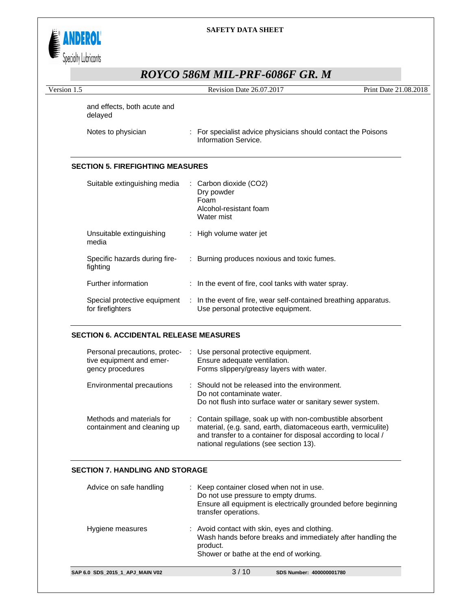

# *ROYCO 586M MIL-PRF-6086F GR. M*

| NOTCO JOUNT MILL-I NI "UUOUT                                                                                                           |                       |
|----------------------------------------------------------------------------------------------------------------------------------------|-----------------------|
| Revision Date 26.07.2017                                                                                                               | Print Date 21.08.2018 |
|                                                                                                                                        |                       |
| : For specialist advice physicians should contact the Poisons<br>Information Service.                                                  |                       |
| <b>SECTION 5. FIREFIGHTING MEASURES</b>                                                                                                |                       |
| Suitable extinguishing media<br>: Carbon dioxide (CO2)<br>Dry powder<br>Foam<br>Alcohol-resistant foam<br>Water mist                   |                       |
| : High volume water jet                                                                                                                |                       |
| : Burning produces noxious and toxic fumes.                                                                                            |                       |
| : In the event of fire, cool tanks with water spray.                                                                                   |                       |
| Special protective equipment<br>: In the event of fire, wear self-contained breathing apparatus.<br>Use personal protective equipment. |                       |
|                                                                                                                                        |                       |

# **SECTION 6. ACCIDENTAL RELEASE MEASURES**

| Personal precautions, protec-<br>tive equipment and emer-<br>gency procedures | : Use personal protective equipment.<br>Ensure adequate ventilation.<br>Forms slippery/greasy layers with water.                                                                                                                       |
|-------------------------------------------------------------------------------|----------------------------------------------------------------------------------------------------------------------------------------------------------------------------------------------------------------------------------------|
| Environmental precautions                                                     | : Should not be released into the environment.<br>Do not contaminate water.<br>Do not flush into surface water or sanitary sewer system.                                                                                               |
| Methods and materials for<br>containment and cleaning up                      | : Contain spillage, soak up with non-combustible absorbent<br>material, (e.g. sand, earth, diatomaceous earth, vermiculite)<br>and transfer to a container for disposal according to local /<br>national regulations (see section 13). |

## **SECTION 7. HANDLING AND STORAGE**

| Advice on safe handling         | : Keep container closed when not in use.<br>Do not use pressure to empty drums.<br>Ensure all equipment is electrically grounded before beginning<br>transfer operations. |
|---------------------------------|---------------------------------------------------------------------------------------------------------------------------------------------------------------------------|
| Hygiene measures                | : Avoid contact with skin, eyes and clothing.<br>Wash hands before breaks and immediately after handling the<br>product.<br>Shower or bathe at the end of working.        |
| SAP 6.0 SDS 2015 1 APJ MAIN V02 | 3/10<br>SDS Number: 400000001780                                                                                                                                          |
|                                 |                                                                                                                                                                           |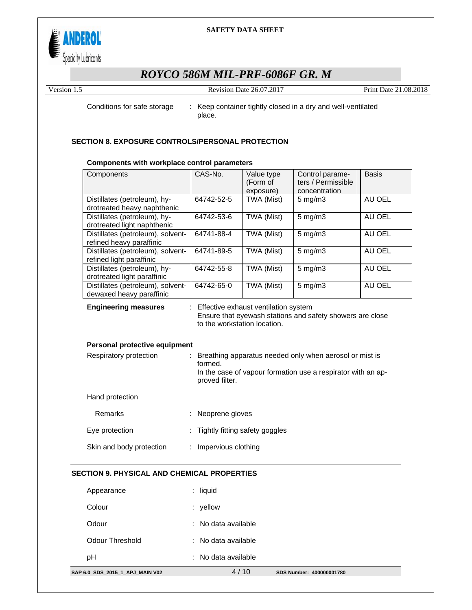

# *ROYCO 586M MIL-PRF-6086F GR. M*

Version 1.5 Revision Date 26.07.2017 Print Date 21.08.2018

Conditions for safe storage : Keep container tightly closed in a dry and well-ventilated place.

### **SECTION 8. EXPOSURE CONTROLS/PERSONAL PROTECTION**

#### **Components with workplace control parameters**

| Components                                                    | CAS-No.                        | Value type<br>(Form of<br>exposure)  | Control parame-<br>ters / Permissible<br>concentration                                                                  | <b>Basis</b> |
|---------------------------------------------------------------|--------------------------------|--------------------------------------|-------------------------------------------------------------------------------------------------------------------------|--------------|
| Distillates (petroleum), hy-<br>drotreated heavy naphthenic   | 64742-52-5                     | TWA (Mist)                           | $5 \text{ mg/m}$ 3                                                                                                      | AU OEL       |
| Distillates (petroleum), hy-<br>drotreated light naphthenic   | 64742-53-6                     | TWA (Mist)                           | $5$ mg/m $3$                                                                                                            | AU OEL       |
| Distillates (petroleum), solvent-<br>refined heavy paraffinic | 64741-88-4                     | TWA (Mist)                           | $5$ mg/m $3$                                                                                                            | AU OEL       |
| Distillates (petroleum), solvent-<br>refined light paraffinic | 64741-89-5                     | TWA (Mist)                           | $5$ mg/m $3$                                                                                                            | AU OEL       |
| Distillates (petroleum), hy-<br>drotreated light paraffinic   | 64742-55-8                     | TWA (Mist)                           | $5$ mg/m $3$                                                                                                            | AU OEL       |
| Distillates (petroleum), solvent-<br>dewaxed heavy paraffinic | 64742-65-0                     | TWA (Mist)                           | $5$ mg/m $3$                                                                                                            | AU OEL       |
| <b>Engineering measures</b>                                   | to the workstation location.   | Effective exhaust ventilation system | Ensure that eyewash stations and safety showers are close                                                               |              |
| Personal protective equipment                                 |                                |                                      |                                                                                                                         |              |
| Respiratory protection                                        | ÷<br>formed.<br>proved filter. |                                      | Breathing apparatus needed only when aerosol or mist is<br>In the case of vapour formation use a respirator with an ap- |              |
| Hand protection                                               |                                |                                      |                                                                                                                         |              |
| Remarks                                                       | Neoprene gloves                |                                      |                                                                                                                         |              |
| Eye protection                                                |                                | Tightly fitting safety goggles       |                                                                                                                         |              |
| Skin and body protection                                      | Impervious clothing            |                                      |                                                                                                                         |              |

#### **SECTION 9. PHYSICAL AND CHEMICAL PROPERTIES**

| SAP 6.0 SDS 2015 1 APJ MAIN V02 | 4/10                | SDS Number: 400000001780 |
|---------------------------------|---------------------|--------------------------|
| рH                              | : No data available |                          |
| Odour Threshold                 | : No data available |                          |
| Odour                           | : No data available |                          |
| Colour                          | $:$ yellow          |                          |
| Appearance                      | $:$ liquid          |                          |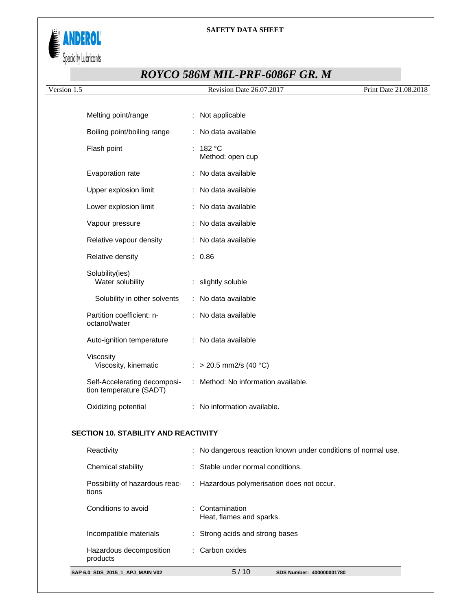

# *ROYCO 586M MIL-PRF-6086F GR. M*

| Version 1.5                                             | Revision Date 26.07.2017            | Print Date 21.08.2018 |
|---------------------------------------------------------|-------------------------------------|-----------------------|
|                                                         |                                     |                       |
| Melting point/range                                     | : Not applicable                    |                       |
| Boiling point/boiling range                             | : No data available                 |                       |
| Flash point                                             | : $182 °C$<br>Method: open cup      |                       |
| Evaporation rate                                        | : No data available                 |                       |
| Upper explosion limit                                   | : No data available                 |                       |
| Lower explosion limit                                   | : No data available                 |                       |
| Vapour pressure                                         | : No data available                 |                       |
| Relative vapour density                                 | : No data available                 |                       |
| Relative density                                        | : 0.86                              |                       |
| Solubility(ies)<br>Water solubility                     | : slightly soluble                  |                       |
| Solubility in other solvents                            | : No data available                 |                       |
| Partition coefficient: n-<br>octanol/water              | : No data available                 |                       |
| Auto-ignition temperature                               | : No data available                 |                       |
| Viscosity<br>Viscosity, kinematic                       | : > 20.5 mm2/s (40 °C)              |                       |
| Self-Accelerating decomposi-<br>tion temperature (SADT) | : Method: No information available. |                       |
| Oxidizing potential                                     | : No information available.         |                       |

## **SECTION 10. STABILITY AND REACTIVITY**

| SAP 6.0 SDS 2015 1 APJ MAIN V02         | 5/10<br>SDS Number: 400000001780                              |
|-----------------------------------------|---------------------------------------------------------------|
| Hazardous decomposition<br>products     | : Carbon oxides                                               |
| Incompatible materials                  | : Strong acids and strong bases                               |
| Conditions to avoid                     | $\therefore$ Contamination<br>Heat, flames and sparks.        |
| Possibility of hazardous reac-<br>tions | : Hazardous polymerisation does not occur.                    |
| Chemical stability                      | : Stable under normal conditions.                             |
| Reactivity                              | : No dangerous reaction known under conditions of normal use. |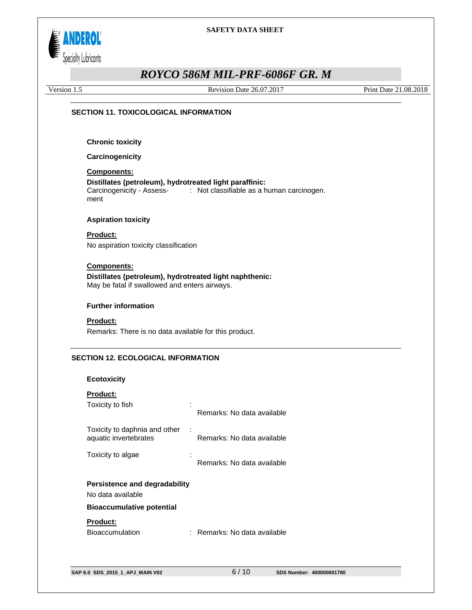

# *ROYCO 586M MIL-PRF-6086F GR. M*

Version 1.5 Revision Date 26.07.2017 Print Date 21.08.2018

#### **SECTION 11. TOXICOLOGICAL INFORMATION**

**Chronic toxicity** 

**Carcinogenicity** 

## **Components:**

**Distillates (petroleum), hydrotreated light paraffinic:**  Carcinogenicity - Assessment : Not classifiable as a human carcinogen.

#### **Aspiration toxicity**

**Product:** No aspiration toxicity classification

#### **Components:**

**Distillates (petroleum), hydrotreated light naphthenic:**  May be fatal if swallowed and enters airways.

## **Further information**

#### **Product:**

Remarks: There is no data available for this product.

#### **SECTION 12. ECOLOGICAL INFORMATION**

#### **Ecotoxicity**

## **Product:**

| Toxicity to fish                                                                       | Remarks: No data available |
|----------------------------------------------------------------------------------------|----------------------------|
| Toxicity to daphnia and other<br>÷<br>aquatic invertebrates                            | Remarks: No data available |
| Toxicity to algae                                                                      | Remarks: No data available |
| Persistence and degradability<br>No data available<br><b>Bioaccumulative potential</b> |                            |
| <b>Product:</b><br><b>Bioaccumulation</b>                                              | Remarks: No data available |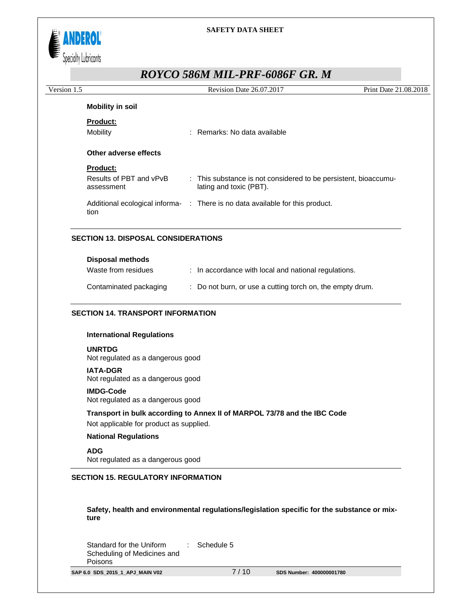

# *ROYCO 586M MIL-PRF-6086F GR. M*

| Version 1.5 |                                       | Revision Date 26.07.2017                                                                   | Print Date 21.08.2018 |
|-------------|---------------------------------------|--------------------------------------------------------------------------------------------|-----------------------|
|             | <b>Mobility in soil</b>               |                                                                                            |                       |
|             | <b>Product:</b>                       |                                                                                            |                       |
|             | Mobility                              | : Remarks: No data available                                                               |                       |
|             | Other adverse effects                 |                                                                                            |                       |
|             | <b>Product:</b>                       |                                                                                            |                       |
|             | Results of PBT and vPvB<br>assessment | : This substance is not considered to be persistent, bioaccumu-<br>lating and toxic (PBT). |                       |
|             | tion                                  | Additional ecological informa- : There is no data available for this product.              |                       |

| <b>Disposal methods</b> |                                                           |
|-------------------------|-----------------------------------------------------------|
| Waste from residues     | : In accordance with local and national regulations.      |
| Contaminated packaging  | : Do not burn, or use a cutting torch on, the empty drum. |

#### **SECTION 14. TRANSPORT INFORMATION**

#### **International Regulations**

#### **UNRTDG**

Not regulated as a dangerous good

#### **IATA-DGR**

Not regulated as a dangerous good

#### **IMDG-Code**

Not regulated as a dangerous good

**Transport in bulk according to Annex II of MARPOL 73/78 and the IBC Code**  Not applicable for product as supplied.

#### **National Regulations**

**ADG**  Not regulated as a dangerous good

#### **SECTION 15. REGULATORY INFORMATION**

**Safety, health and environmental regulations/legislation specific for the substance or mixture** 

Standard for the Uniform Scheduling of Medicines and Poisons : Schedule 5

**SAP 6.0 SDS\_2015\_1\_APJ\_MAIN V02** 7 / 10 **SDS Number: 400000001780**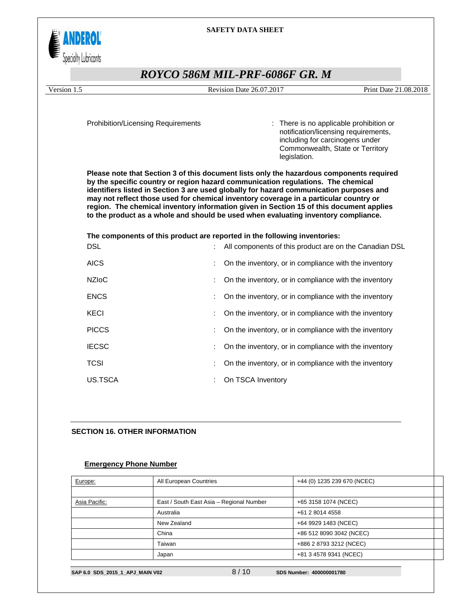

# *ROYCO 586M MIL-PRF-6086F GR. M*

Version 1.5 Revision Date 26.07.2017 Print Date 21.08.2018

Prohibition/Licensing Requirements : There is no applicable prohibition or notification/licensing requirements, including for carcinogens under Commonwealth, State or Territory legislation.

**Please note that Section 3 of this document lists only the hazardous components required by the specific country or region hazard communication regulations. The chemical identifiers listed in Section 3 are used globally for hazard communication purposes and may not reflect those used for chemical inventory coverage in a particular country or region. The chemical inventory information given in Section 15 of this document applies to the product as a whole and should be used when evaluating inventory compliance.** 

**The components of this product are reported in the following inventories:**  DSL **Internal 20 Inc.** 2010 : All components of this product are on the Canadian DSL AICS **EXECUTE:** On the inventory, or in compliance with the inventory NZIoC **interpreteral interventory** or in compliance with the inventory ENCS **ENCS ENCS ENCS ENCS ENCS ENCS ENCS ENCS ENCS ENCS ENCS ENCS ENCS ENCS ENCS ENCS ENCS ENCS ENCS ENCS ENCS ENCS ENCS ENCS ENCS ENCS ENCS ENCS ENCS ENCS ENCS** KECI **EXAMPLE 19 ISSUES 2006** : On the inventory, or in compliance with the inventory PICCS **EXECUTE:** On the inventory, or in compliance with the inventory IECSC **IECSC 1 IECSC 1 IECSC 1 CO 1 CO 1 CO 1 CO 1 CO 1 CO 1 CO 1 CO 1 CO 1 CO 1 CO 1 CO 1 CO 1 CO 1 CO 1 CO 1 CO 1 CO 1 CO 1 CO 1** TCSI **I** CONSIDUCT **CONSIDUCT** 2011 **CONSIDUCT** 2011 **CONSIDUCT** 2012 **CONSIDUCT** 2012 **CONSIDUCT** 2012 **CONSIDUCT** 2012 **CONSIDUCT** 2012 **CONSIDUCT** 2012 **CONSIDUCT** 2012 **CONSIDUCT** 2012 **CONSIDUCT** 2012 **CONSIDUCT** 2012 US.TSCA : On TSCA Inventory

#### **SECTION 16. OTHER INFORMATION**

#### **Emergency Phone Number**

|               | Japan                                    | +81 3 4578 9341 (NCEC)      |  |
|---------------|------------------------------------------|-----------------------------|--|
|               | Taiwan                                   | +886 2 8793 3212 (NCEC)     |  |
|               | China                                    | +86 512 8090 3042 (NCEC)    |  |
|               | New Zealand                              | +64 9929 1483 (NCEC)        |  |
|               | Australia                                | +61 2 8014 4558             |  |
| Asia Pacific: | East / South East Asia - Regional Number | +65 3158 1074 (NCEC)        |  |
|               |                                          |                             |  |
| Europe:       | All European Countries                   | +44 (0) 1235 239 670 (NCEC) |  |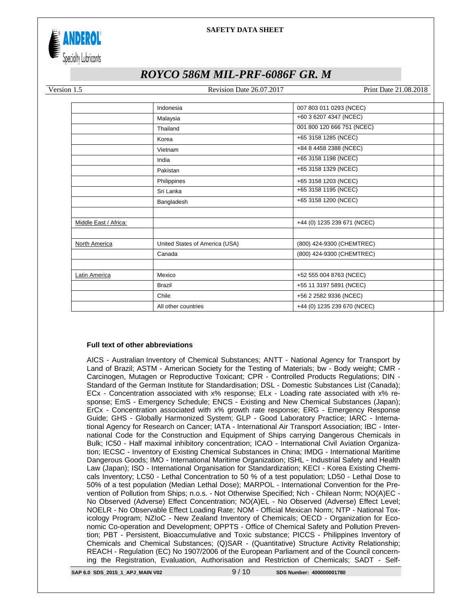

# *ROYCO 586M MIL-PRF-6086F GR. M*

Version 1.5 Revision Date 26.07.2017 Print Date 21.08.2018

|                       | Indonesia                      | 007 803 011 0293 (NCEC)     |  |
|-----------------------|--------------------------------|-----------------------------|--|
|                       | Malaysia                       | +60 3 6207 4347 (NCEC)      |  |
|                       | Thailand                       | 001 800 120 666 751 (NCEC)  |  |
|                       | Korea                          | +65 3158 1285 (NCEC)        |  |
|                       | Vietnam                        | +84 8 4458 2388 (NCEC)      |  |
|                       | India                          | +65 3158 1198 (NCEC)        |  |
|                       | Pakistan                       | +65 3158 1329 (NCEC)        |  |
|                       | Philippines                    | +65 3158 1203 (NCEC)        |  |
|                       | Sri Lanka                      | +65 3158 1195 (NCEC)        |  |
|                       | Bangladesh                     | +65 3158 1200 (NCEC)        |  |
|                       |                                |                             |  |
| Middle East / Africa: |                                | +44 (0) 1235 239 671 (NCEC) |  |
|                       |                                |                             |  |
| North America         | United States of America (USA) | (800) 424-9300 (CHEMTREC)   |  |
|                       | Canada                         | (800) 424-9300 (CHEMTREC)   |  |
|                       |                                |                             |  |
| Latin America         | Mexico                         | +52 555 004 8763 (NCEC)     |  |
|                       | <b>Brazil</b>                  | +55 11 3197 5891 (NCEC)     |  |
|                       | Chile                          | +56 2 2582 9336 (NCEC)      |  |
|                       | All other countries            | +44 (0) 1235 239 670 (NCEC) |  |
|                       |                                |                             |  |

#### **Full text of other abbreviations**

AICS - Australian Inventory of Chemical Substances; ANTT - National Agency for Transport by Land of Brazil; ASTM - American Society for the Testing of Materials; bw - Body weight; CMR - Carcinogen, Mutagen or Reproductive Toxicant; CPR - Controlled Products Regulations; DIN - Standard of the German Institute for Standardisation; DSL - Domestic Substances List (Canada); ECx - Concentration associated with x% response; ELx - Loading rate associated with x% response; EmS - Emergency Schedule; ENCS - Existing and New Chemical Substances (Japan); ErCx - Concentration associated with x% growth rate response; ERG - Emergency Response Guide; GHS - Globally Harmonized System; GLP - Good Laboratory Practice; IARC - International Agency for Research on Cancer; IATA - International Air Transport Association; IBC - International Code for the Construction and Equipment of Ships carrying Dangerous Chemicals in Bulk; IC50 - Half maximal inhibitory concentration; ICAO - International Civil Aviation Organization; IECSC - Inventory of Existing Chemical Substances in China; IMDG - International Maritime Dangerous Goods; IMO - International Maritime Organization; ISHL - Industrial Safety and Health Law (Japan); ISO - International Organisation for Standardization; KECI - Korea Existing Chemicals Inventory; LC50 - Lethal Concentration to 50 % of a test population; LD50 - Lethal Dose to 50% of a test population (Median Lethal Dose); MARPOL - International Convention for the Prevention of Pollution from Ships; n.o.s. - Not Otherwise Specified; Nch - Chilean Norm; NO(A)EC - No Observed (Adverse) Effect Concentration; NO(A)EL - No Observed (Adverse) Effect Level; NOELR - No Observable Effect Loading Rate; NOM - Official Mexican Norm; NTP - National Toxicology Program; NZIoC - New Zealand Inventory of Chemicals; OECD - Organization for Economic Co-operation and Development; OPPTS - Office of Chemical Safety and Pollution Prevention; PBT - Persistent, Bioaccumulative and Toxic substance; PICCS - Philippines Inventory of Chemicals and Chemical Substances; (Q)SAR - (Quantitative) Structure Activity Relationship; REACH - Regulation (EC) No 1907/2006 of the European Parliament and of the Council concerning the Registration, Evaluation, Authorisation and Restriction of Chemicals; SADT - Self-

**SAP 6.0 SDS\_2015\_1\_APJ\_MAIN V02** 9 / 10 **SDS Number: 400000001780**